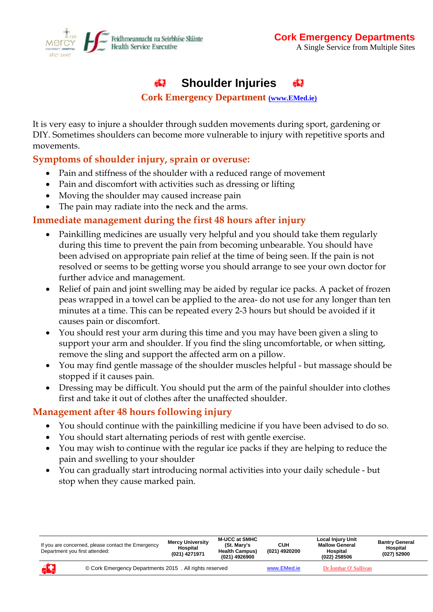

#### **Shoulder Injuries**  яQ

#### **Cork Emergency Department [\(www.EMed.ie\)](http://(www.handbook.muh.ie)/)**

It is very easy to injure a shoulder through sudden movements during sport, gardening or DIY. Sometimes shoulders can become more vulnerable to injury with repetitive sports and movements.

## **Symptoms of shoulder injury, sprain or overuse:**

- Pain and stiffness of the shoulder with a reduced range of movement
- Pain and discomfort with activities such as dressing or lifting
- Moving the shoulder may caused increase pain
- The pain may radiate into the neck and the arms.

## **Immediate management during the first 48 hours after injury**

- Painkilling medicines are usually very helpful and you should take them regularly during this time to prevent the pain from becoming unbearable. You should have been advised on appropriate pain relief at the time of being seen. If the pain is not resolved or seems to be getting worse you should arrange to see your own doctor for further advice and management.
- Relief of pain and joint swelling may be aided by regular ice packs. A packet of frozen peas wrapped in a towel can be applied to the area- do not use for any longer than ten minutes at a time. This can be repeated every 2-3 hours but should be avoided if it causes pain or discomfort.
- You should rest your arm during this time and you may have been given a sling to support your arm and shoulder. If you find the sling uncomfortable, or when sitting, remove the sling and support the affected arm on a pillow.
- You may find gentle massage of the shoulder muscles helpful but massage should be stopped if it causes pain.
- Dressing may be difficult. You should put the arm of the painful shoulder into clothes first and take it out of clothes after the unaffected shoulder.

## **Management after 48 hours following injury**

- You should continue with the painkilling medicine if you have been advised to do so.
- You should start alternating periods of rest with gentle exercise.
- You may wish to continue with the regular ice packs if they are helping to reduce the pain and swelling to your shoulder
- You can gradually start introducing normal activities into your daily schedule but stop when they cause marked pain.

| If you are concerned, please contact the Emergency<br>Department you first attended: |                                                         | <b>Mercy University</b><br>Hospital<br>(021) 4271971 | <b>M-UCC at SMHC</b><br>(St. Mary's<br><b>Health Campus)</b><br>(021) 4926900 | <b>CUH</b><br>(021) 4920200 | <b>Local Injury Unit</b><br><b>Mallow General</b><br>Hospital<br>(022) 258506 | <b>Bantry General</b><br>Hospital<br>(027) 52900 |
|--------------------------------------------------------------------------------------|---------------------------------------------------------|------------------------------------------------------|-------------------------------------------------------------------------------|-----------------------------|-------------------------------------------------------------------------------|--------------------------------------------------|
| Æ                                                                                    | © Cork Emergency Departments 2015 . All rights reserved |                                                      |                                                                               | www.EMed.ie                 | Dr Íomhar O' Sullivan                                                         |                                                  |